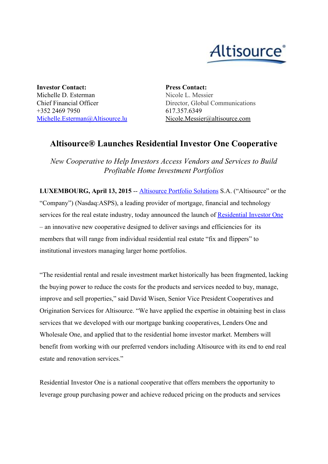

**Investor Contact:** Michelle D. Esterman Chief Financial Officer +352 2469 7950 [Michelle.Esterman@Altisource.lu](mailto:Michelle.Esterman@Altisource.lu) **Press Contact:** Nicole L. Messier Director, Global Communications 617.357.6349 Nicole.Messier@altisource.com

## **Altisource® Launches Residential Investor One Cooperative**

*New Cooperative to Help Investors Access Vendors and Services to Build Profitable Home Investment Portfolios*

**LUXEMBOURG, April 13, 2015** - **[Altisource](http://www.altisource.com/) Portfolio Solutions S.A.** ("Altisource" or the "Company") (Nasdaq:ASPS), a leading provider of mortgage, financial and technology services for the real estate industry, today announced the launch of [Residential](http://www.residentialinvestorone.com/) Investor One – an innovative new cooperative designed to deliver savings and efficiencies for its members that will range from individual residential real estate "fix and flippers" to institutional investors managing larger home portfolios.

"The residential rental and resale investment market historically has been fragmented, lacking the buying power to reduce the costs for the products and services needed to buy, manage, improve and sell properties," said David Wisen, Senior Vice President Cooperatives and Origination Services for Altisource. "We have applied the expertise in obtaining best in class services that we developed with our mortgage banking cooperatives, Lenders One and Wholesale One, and applied that to the residential home investor market. Members will benefit from working with our preferred vendors including Altisource with its end to end real estate and renovation services."

Residential Investor One is a national cooperative that offers members the opportunity to leverage group purchasing power and achieve reduced pricing on the products and services